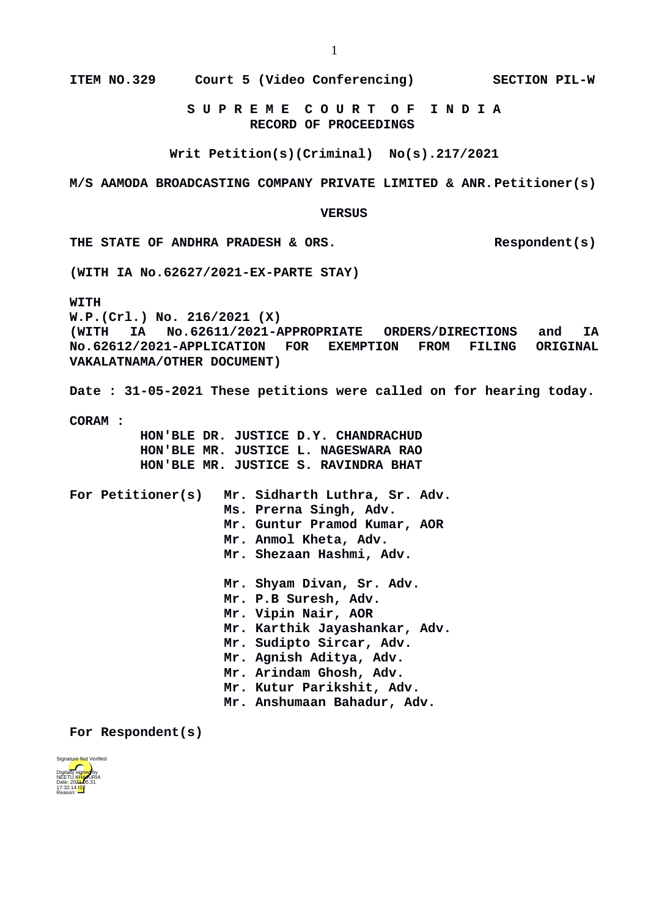**ITEM NO.329 Court 5 (Video Conferencing) SECTION PIL-W S U P R E M E C O U R T O F I N D I A RECORD OF PROCEEDINGS Writ Petition(s)(Criminal) No(s).217/2021 M/S AAMODA BROADCASTING COMPANY PRIVATE LIMITED & ANR.Petitioner(s) VERSUS** THE STATE OF ANDHRA PRADESH & ORS. Respondent(s) **(WITH IA No.62627/2021-EX-PARTE STAY) WITH W.P.(Crl.) No. 216/2021 (X) (WITH IA No.62611/2021-APPROPRIATE ORDERS/DIRECTIONS and IA No.62612/2021-APPLICATION FOR EXEMPTION FROM FILING ORIGINAL VAKALATNAMA/OTHER DOCUMENT) Date : 31-05-2021 These petitions were called on for hearing today. CORAM : HON'BLE DR. JUSTICE D.Y. CHANDRACHUD HON'BLE MR. JUSTICE L. NAGESWARA RAO HON'BLE MR. JUSTICE S. RAVINDRA BHAT For Petitioner(s) Mr. Sidharth Luthra, Sr. Adv. Ms. Prerna Singh, Adv. Mr. Guntur Pramod Kumar, AOR Mr. Anmol Kheta, Adv. Mr. Shezaan Hashmi, Adv. Mr. Shyam Divan, Sr. Adv. Mr. P.B Suresh, Adv. Mr. Vipin Nair, AOR Mr. Karthik Jayashankar, Adv. Mr. Sudipto Sircar, Adv. Mr. Agnish Aditya, Adv. Mr. Arindam Ghosh, Adv. Mr. Kutur Parikshit, Adv. Mr. Anshumaan Bahadur, Adv.**

**For Respondent(s)**

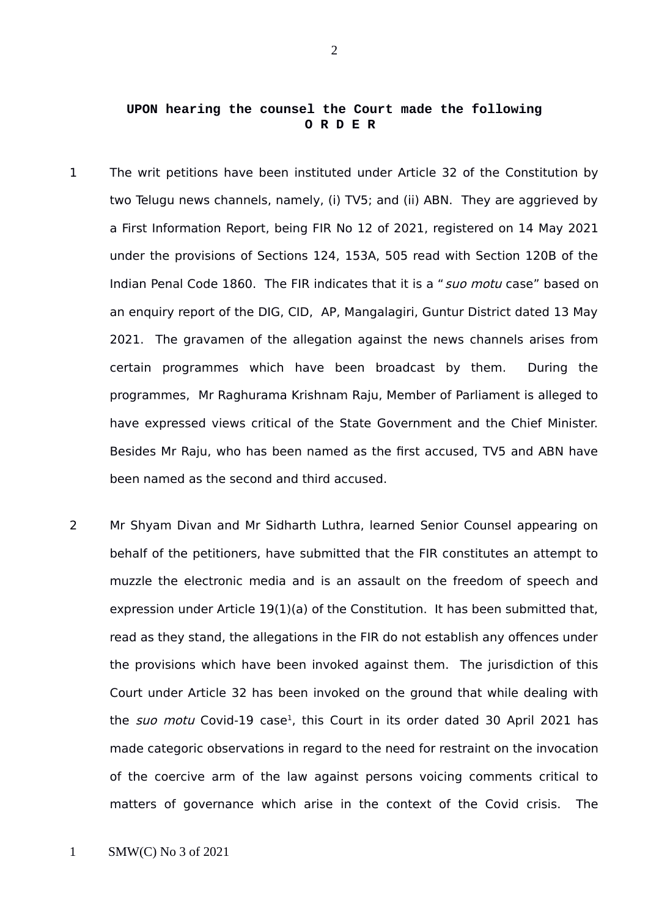## **UPON hearing the counsel the Court made the following O R D E R**

- 1 The writ petitions have been instituted under Article 32 of the Constitution by two Telugu news channels, namely, (i) TV5; and (ii) ABN. They are aggrieved by a First Information Report, being FIR No 12 of 2021, registered on 14 May 2021 under the provisions of Sections 124, 153A, 505 read with Section 120B of the Indian Penal Code 1860. The FIR indicates that it is a "suo motu case" based on an enquiry report of the DIG, CID, AP, Mangalagiri, Guntur District dated 13 May 2021. The gravamen of the allegation against the news channels arises from certain programmes which have been broadcast by them. During the programmes, Mr Raghurama Krishnam Raju, Member of Parliament is alleged to have expressed views critical of the State Government and the Chief Minister. Besides Mr Raju, who has been named as the first accused, TV5 and ABN have been named as the second and third accused.
- <span id="page-1-0"></span>2 Mr Shyam Divan and Mr Sidharth Luthra, learned Senior Counsel appearing on behalf of the petitioners, have submitted that the FIR constitutes an attempt to muzzle the electronic media and is an assault on the freedom of speech and expression under Article 19(1)(a) of the Constitution. It has been submitted that, read as they stand, the allegations in the FIR do not establish any offences under the provisions which have been invoked against them. The jurisdiction of this Court under Article 32 has been invoked on the ground that while dealing with the suo motu Covid-[1](#page-1-0)9 case<sup>1</sup>, this Court in its order dated 30 April 2021 has made categoric observations in regard to the need for restraint on the invocation of the coercive arm of the law against persons voicing comments critical to matters of governance which arise in the context of the Covid crisis. The